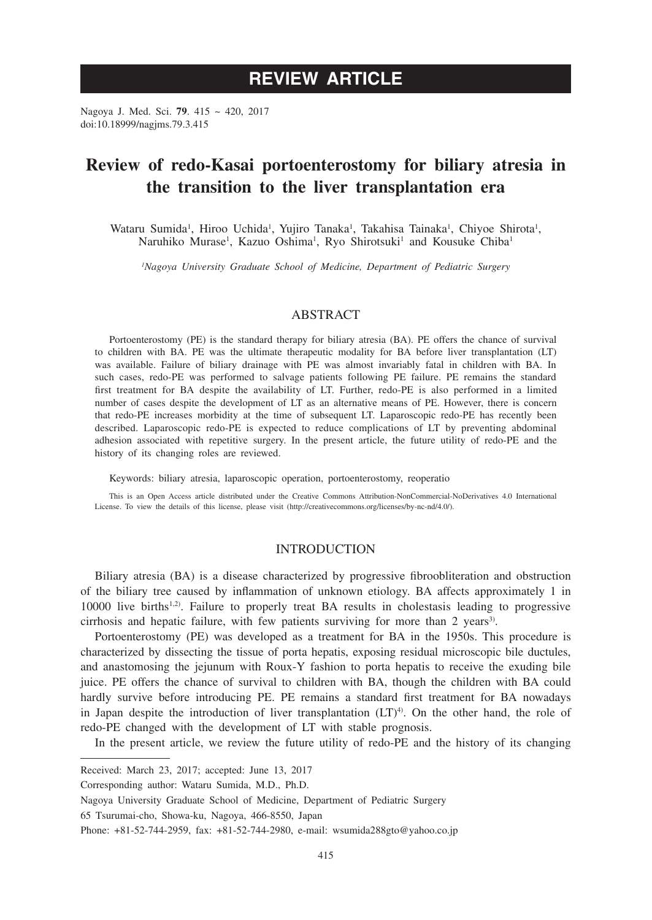# **REVIEW ARTICLE**

Nagoya J. Med. Sci. **79**. 415 ~ 420, 2017 doi:10.18999/nagjms.79.3.415

# **Review of redo-Kasai portoenterostomy for biliary atresia in the transition to the liver transplantation era**

Wataru Sumida<sup>1</sup>, Hiroo Uchida<sup>1</sup>, Yujiro Tanaka<sup>1</sup>, Takahisa Tainaka<sup>1</sup>, Chiyoe Shirota<sup>1</sup>, Naruhiko Murase<sup>1</sup>, Kazuo Oshima<sup>1</sup>, Ryo Shirotsuki<sup>1</sup> and Kousuke Chiba<sup>1</sup>

*1 Nagoya University Graduate School of Medicine, Department of Pediatric Surgery*

## ABSTRACT

Portoenterostomy (PE) is the standard therapy for biliary atresia (BA). PE offers the chance of survival to children with BA. PE was the ultimate therapeutic modality for BA before liver transplantation (LT) was available. Failure of biliary drainage with PE was almost invariably fatal in children with BA. In such cases, redo-PE was performed to salvage patients following PE failure. PE remains the standard first treatment for BA despite the availability of LT. Further, redo-PE is also performed in a limited number of cases despite the development of LT as an alternative means of PE. However, there is concern that redo-PE increases morbidity at the time of subsequent LT. Laparoscopic redo-PE has recently been described. Laparoscopic redo-PE is expected to reduce complications of LT by preventing abdominal adhesion associated with repetitive surgery. In the present article, the future utility of redo-PE and the history of its changing roles are reviewed.

Keywords: biliary atresia, laparoscopic operation, portoenterostomy, reoperatio

This is an Open Access article distributed under the Creative Commons Attribution-NonCommercial-NoDerivatives 4.0 International License. To view the details of this license, please visit (http://creativecommons.org/licenses/by-nc-nd/4.0/).

### INTRODUCTION

Biliary atresia (BA) is a disease characterized by progressive fibroobliteration and obstruction of the biliary tree caused by inflammation of unknown etiology. BA affects approximately 1 in 10000 live births<sup>1,2)</sup>. Failure to properly treat BA results in cholestasis leading to progressive cirrhosis and hepatic failure, with few patients surviving for more than 2 years<sup>3)</sup>.

Portoenterostomy (PE) was developed as a treatment for BA in the 1950s. This procedure is characterized by dissecting the tissue of porta hepatis, exposing residual microscopic bile ductules, and anastomosing the jejunum with Roux-Y fashion to porta hepatis to receive the exuding bile juice. PE offers the chance of survival to children with BA, though the children with BA could hardly survive before introducing PE. PE remains a standard first treatment for BA nowadays in Japan despite the introduction of liver transplantation  $(LT)^{4}$ . On the other hand, the role of redo-PE changed with the development of LT with stable prognosis.

In the present article, we review the future utility of redo-PE and the history of its changing

65 Tsurumai-cho, Showa-ku, Nagoya, 466-8550, Japan

Received: March 23, 2017; accepted: June 13, 2017

Corresponding author: Wataru Sumida, M.D., Ph.D.

Nagoya University Graduate School of Medicine, Department of Pediatric Surgery

Phone: +81-52-744-2959, fax: +81-52-744-2980, e-mail: wsumida288gto@yahoo.co.jp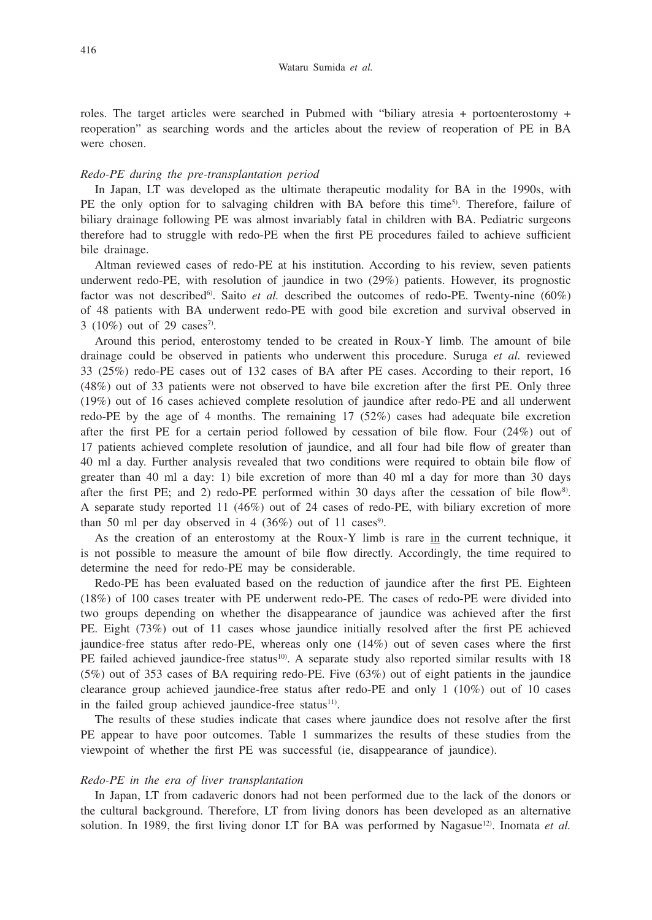roles. The target articles were searched in Pubmed with "biliary atresia + portoenterostomy + reoperation" as searching words and the articles about the review of reoperation of PE in BA were chosen.

### *Redo-PE during the pre-transplantation period*

In Japan, LT was developed as the ultimate therapeutic modality for BA in the 1990s, with PE the only option for to salvaging children with BA before this time<sup>5)</sup>. Therefore, failure of biliary drainage following PE was almost invariably fatal in children with BA. Pediatric surgeons therefore had to struggle with redo-PE when the first PE procedures failed to achieve sufficient bile drainage.

Altman reviewed cases of redo-PE at his institution. According to his review, seven patients underwent redo-PE, with resolution of jaundice in two (29%) patients. However, its prognostic factor was not described<sup>6</sup>. Saito *et al.* described the outcomes of redo-PE. Twenty-nine (60%) of 48 patients with BA underwent redo-PE with good bile excretion and survival observed in 3 (10%) out of 29 cases<sup>7</sup>.

Around this period, enterostomy tended to be created in Roux-Y limb. The amount of bile drainage could be observed in patients who underwent this procedure. Suruga *et al.* reviewed 33 (25%) redo-PE cases out of 132 cases of BA after PE cases. According to their report, 16 (48%) out of 33 patients were not observed to have bile excretion after the first PE. Only three (19%) out of 16 cases achieved complete resolution of jaundice after redo-PE and all underwent redo-PE by the age of 4 months. The remaining 17 (52%) cases had adequate bile excretion after the first PE for a certain period followed by cessation of bile flow. Four (24%) out of 17 patients achieved complete resolution of jaundice, and all four had bile flow of greater than 40 ml a day. Further analysis revealed that two conditions were required to obtain bile flow of greater than 40 ml a day: 1) bile excretion of more than 40 ml a day for more than 30 days after the first PE; and 2) redo-PE performed within 30 days after the cessation of bile flow<sup>8)</sup>. A separate study reported 11 (46%) out of 24 cases of redo-PE, with biliary excretion of more than 50 ml per day observed in 4  $(36%)$  out of 11 cases<sup>9</sup>.

As the creation of an enterostomy at the Roux-Y limb is rare in the current technique, it is not possible to measure the amount of bile flow directly. Accordingly, the time required to determine the need for redo-PE may be considerable.

Redo-PE has been evaluated based on the reduction of jaundice after the first PE. Eighteen (18%) of 100 cases treater with PE underwent redo-PE. The cases of redo-PE were divided into two groups depending on whether the disappearance of jaundice was achieved after the first PE. Eight (73%) out of 11 cases whose jaundice initially resolved after the first PE achieved jaundice-free status after redo-PE, whereas only one (14%) out of seven cases where the first PE failed achieved jaundice-free status<sup>10</sup>. A separate study also reported similar results with 18 (5%) out of 353 cases of BA requiring redo-PE. Five (63%) out of eight patients in the jaundice clearance group achieved jaundice-free status after redo-PE and only 1 (10%) out of 10 cases in the failed group achieved jaundice-free status $11$ .

The results of these studies indicate that cases where jaundice does not resolve after the first PE appear to have poor outcomes. Table 1 summarizes the results of these studies from the viewpoint of whether the first PE was successful (ie, disappearance of jaundice).

#### *Redo-PE in the era of liver transplantation*

In Japan, LT from cadaveric donors had not been performed due to the lack of the donors or the cultural background. Therefore, LT from living donors has been developed as an alternative solution. In 1989, the first living donor LT for BA was performed by Nagasue<sup>12)</sup>. Inomata *et al.*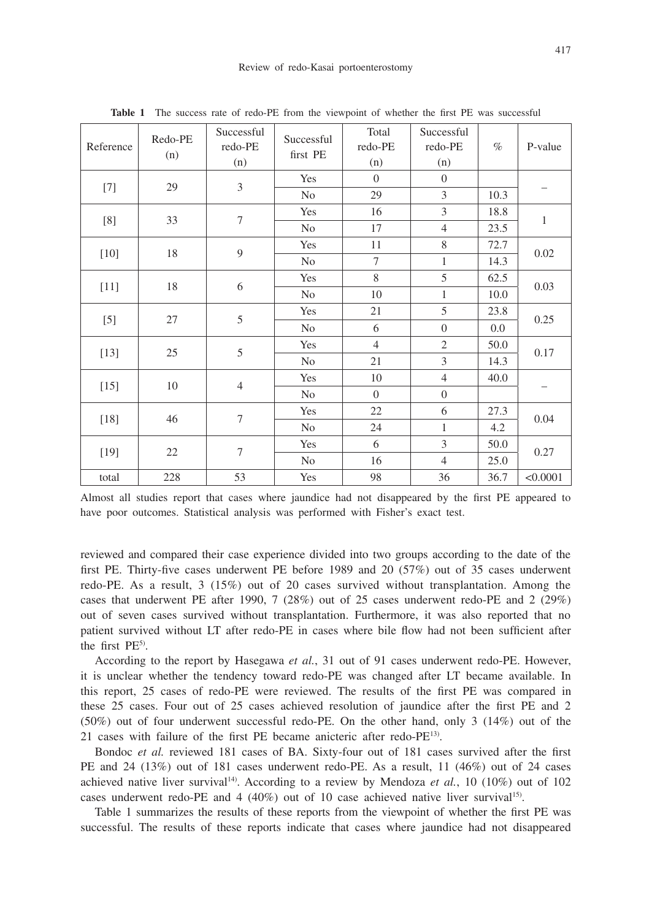| Reference | Redo-PE<br>(n) | Successful<br>redo-PE<br>(n) | Successful<br>first PE | Total<br>redo-PE<br>(n) | Successful<br>redo-PE<br>(n) | $\%$ | P-value      |  |
|-----------|----------------|------------------------------|------------------------|-------------------------|------------------------------|------|--------------|--|
| $[7]$     | 29             | $\mathfrak{Z}$               | Yes                    | $\theta$                | $\overline{0}$               |      |              |  |
|           |                |                              | No                     | 29                      | 3                            | 10.3 |              |  |
| $[8]$     | 33             | $\tau$                       | Yes                    | 16                      | 3                            | 18.8 | $\mathbf{1}$ |  |
|           |                |                              | N <sub>o</sub>         | 17                      | $\overline{4}$               | 23.5 |              |  |
| $[10]$    | $18\,$         | $\overline{9}$               | Yes                    | 11                      | 8                            | 72.7 | $0.02\,$     |  |
|           |                |                              | N <sub>0</sub>         | $\tau$                  | $\mathbf{1}$                 | 14.3 |              |  |
| $[11]$    | 18             | 6                            | Yes                    | 8                       | 5                            | 62.5 | 0.03         |  |
|           |                |                              | No                     | 10                      | $\mathbf{1}$                 | 10.0 |              |  |
| $[5]$     | 27             | 5                            | Yes                    | 21                      | 5                            | 23.8 | 0.25         |  |
|           |                |                              | N <sub>o</sub>         | 6                       | $\theta$                     | 0.0  |              |  |
| $[13]$    | 25             | 5                            | Yes                    | $\overline{4}$          | $\overline{2}$               | 50.0 | 0.17         |  |
|           |                |                              | N <sub>o</sub>         | 21                      | 3                            | 14.3 |              |  |
| $[15]$    | 10             | $\overline{4}$               | Yes                    | 10                      | $\overline{4}$               | 40.0 |              |  |
|           |                |                              | N <sub>o</sub>         | $\Omega$                | $\overline{0}$               |      |              |  |
| $[18]$    | 46             | $\tau$                       | Yes                    | 22                      | 6                            | 27.3 | 0.04         |  |
|           |                |                              | N <sub>o</sub>         | 24                      | $\mathbf{1}$                 | 4.2  |              |  |
| $[19]$    | 22             | $\overline{7}$               | Yes                    | 6                       | 3                            | 50.0 | 0.27         |  |
|           |                |                              | N <sub>0</sub>         | 16                      | $\overline{4}$               | 25.0 |              |  |
| total     | 228            | 53                           | Yes                    | 98                      | 36                           | 36.7 | < 0.0001     |  |

**Table 1** The success rate of redo-PE from the viewpoint of whether the first PE was successful

Almost all studies report that cases where jaundice had not disappeared by the first PE appeared to have poor outcomes. Statistical analysis was performed with Fisher's exact test.

reviewed and compared their case experience divided into two groups according to the date of the first PE. Thirty-five cases underwent PE before 1989 and 20 (57%) out of 35 cases underwent redo-PE. As a result, 3 (15%) out of 20 cases survived without transplantation. Among the cases that underwent PE after 1990, 7 (28%) out of 25 cases underwent redo-PE and 2 (29%) out of seven cases survived without transplantation. Furthermore, it was also reported that no patient survived without LT after redo-PE in cases where bile flow had not been sufficient after the first PE<sup>5)</sup>.

According to the report by Hasegawa *et al.*, 31 out of 91 cases underwent redo-PE. However, it is unclear whether the tendency toward redo-PE was changed after LT became available. In this report, 25 cases of redo-PE were reviewed. The results of the first PE was compared in these 25 cases. Four out of 25 cases achieved resolution of jaundice after the first PE and 2 (50%) out of four underwent successful redo-PE. On the other hand, only 3 (14%) out of the 21 cases with failure of the first PE became anicteric after redo-PE13).

Bondoc *et al.* reviewed 181 cases of BA. Sixty-four out of 181 cases survived after the first PE and 24 (13%) out of 181 cases underwent redo-PE. As a result, 11 (46%) out of 24 cases achieved native liver survival<sup>14)</sup>. According to a review by Mendoza *et al.*, 10 (10%) out of 102 cases underwent redo-PE and 4 (40%) out of 10 case achieved native liver survival15).

Table 1 summarizes the results of these reports from the viewpoint of whether the first PE was successful. The results of these reports indicate that cases where jaundice had not disappeared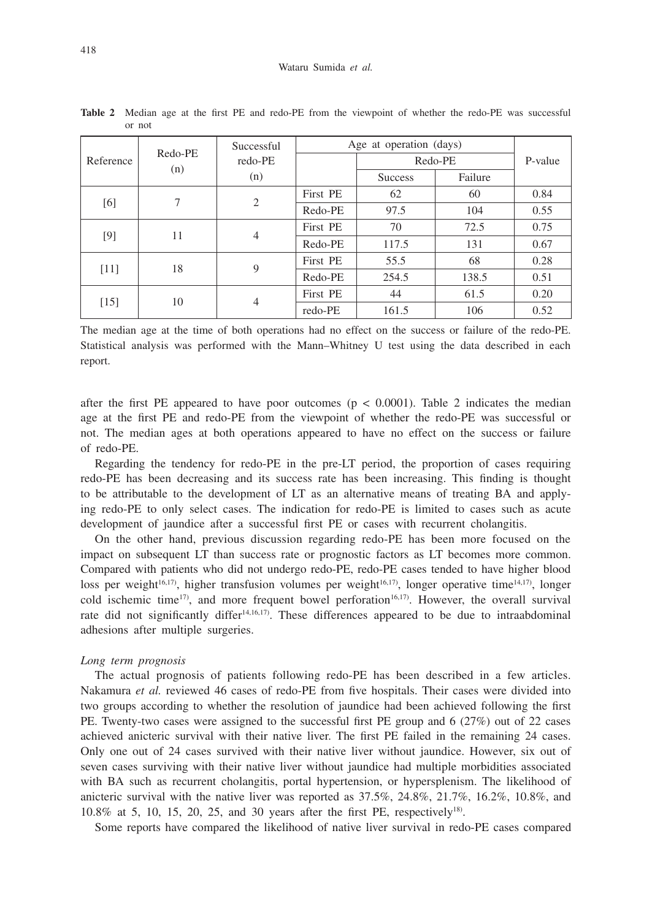| Reference | Redo-PE<br>(n) | Successful<br>redo-PE<br>(n) | Age at operation (days) |                |         |         |
|-----------|----------------|------------------------------|-------------------------|----------------|---------|---------|
|           |                |                              | Redo-PE                 |                |         | P-value |
|           |                |                              |                         | <b>Success</b> | Failure |         |
| [6]       | 7              | 2                            | First PE                | 62             | 60      | 0.84    |
|           |                |                              | Redo-PE                 | 97.5           | 104     | 0.55    |
| [9]       | 11             | $\overline{4}$               | First PE                | 70             | 72.5    | 0.75    |
|           |                |                              | Redo-PE                 | 117.5          | 131     | 0.67    |
| [11]      | 18             | 9                            | First PE                | 55.5           | 68      | 0.28    |
|           |                |                              | Redo-PE                 | 254.5          | 138.5   | 0.51    |
| [15]      | 10             | $\overline{4}$               | First PE                | 44             | 61.5    | 0.20    |
|           |                |                              | redo-PE                 | 161.5          | 106     | 0.52    |

**Table 2** Median age at the first PE and redo-PE from the viewpoint of whether the redo-PE was successful or not

The median age at the time of both operations had no effect on the success or failure of the redo-PE. Statistical analysis was performed with the Mann–Whitney U test using the data described in each report.

after the first PE appeared to have poor outcomes  $(p < 0.0001)$ . Table 2 indicates the median age at the first PE and redo-PE from the viewpoint of whether the redo-PE was successful or not. The median ages at both operations appeared to have no effect on the success or failure of redo-PE.

Regarding the tendency for redo-PE in the pre-LT period, the proportion of cases requiring redo-PE has been decreasing and its success rate has been increasing. This finding is thought to be attributable to the development of LT as an alternative means of treating BA and applying redo-PE to only select cases. The indication for redo-PE is limited to cases such as acute development of jaundice after a successful first PE or cases with recurrent cholangitis.

On the other hand, previous discussion regarding redo-PE has been more focused on the impact on subsequent LT than success rate or prognostic factors as LT becomes more common. Compared with patients who did not undergo redo-PE, redo-PE cases tended to have higher blood loss per weight<sup>16,17</sup>), higher transfusion volumes per weight<sup>16,17</sup>), longer operative time<sup>14,17</sup>), longer cold ischemic time<sup>17</sup>), and more frequent bowel perforation<sup>16,17</sup>). However, the overall survival rate did not significantly differ<sup>14,16,17</sup>). These differences appeared to be due to intraabdominal adhesions after multiple surgeries.

#### *Long term prognosis*

The actual prognosis of patients following redo-PE has been described in a few articles. Nakamura *et al.* reviewed 46 cases of redo-PE from five hospitals. Their cases were divided into two groups according to whether the resolution of jaundice had been achieved following the first PE. Twenty-two cases were assigned to the successful first PE group and 6 (27%) out of 22 cases achieved anicteric survival with their native liver. The first PE failed in the remaining 24 cases. Only one out of 24 cases survived with their native liver without jaundice. However, six out of seven cases surviving with their native liver without jaundice had multiple morbidities associated with BA such as recurrent cholangitis, portal hypertension, or hypersplenism. The likelihood of anicteric survival with the native liver was reported as 37.5%, 24.8%, 21.7%, 16.2%, 10.8%, and 10.8% at 5, 10, 15, 20, 25, and 30 years after the first PE, respectively18).

Some reports have compared the likelihood of native liver survival in redo-PE cases compared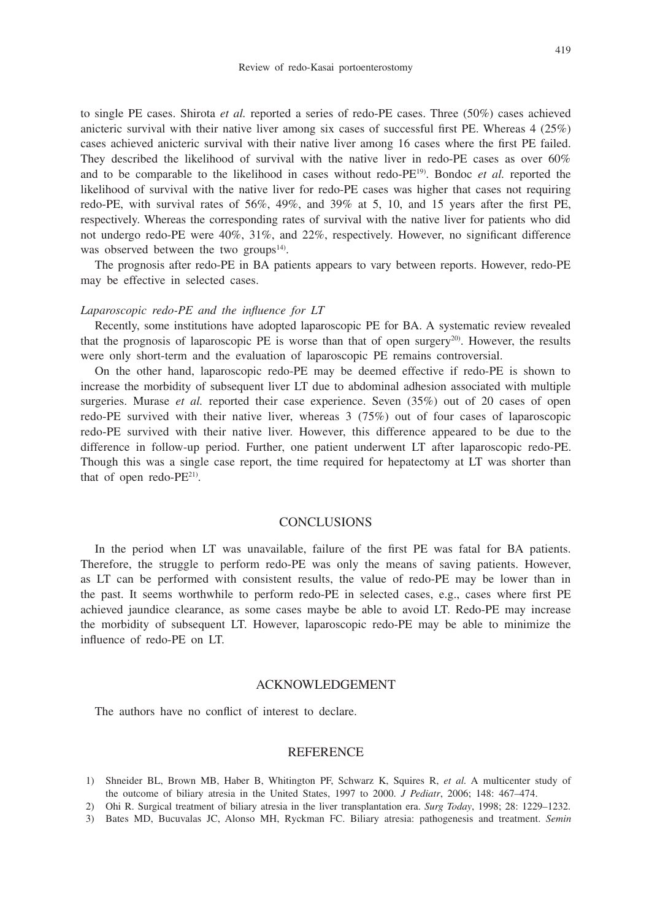to single PE cases. Shirota *et al.* reported a series of redo-PE cases. Three (50%) cases achieved anicteric survival with their native liver among six cases of successful first PE. Whereas 4 (25%) cases achieved anicteric survival with their native liver among 16 cases where the first PE failed. They described the likelihood of survival with the native liver in redo-PE cases as over 60% and to be comparable to the likelihood in cases without redo-PE19). Bondoc *et al.* reported the likelihood of survival with the native liver for redo-PE cases was higher that cases not requiring redo-PE, with survival rates of 56%, 49%, and 39% at 5, 10, and 15 years after the first PE, respectively. Whereas the corresponding rates of survival with the native liver for patients who did not undergo redo-PE were 40%, 31%, and 22%, respectively. However, no significant difference was observed between the two groups $14$ .

The prognosis after redo-PE in BA patients appears to vary between reports. However, redo-PE may be effective in selected cases.

#### *Laparoscopic redo-PE and the influence for LT*

Recently, some institutions have adopted laparoscopic PE for BA. A systematic review revealed that the prognosis of laparoscopic PE is worse than that of open surgery $^{20}$ . However, the results were only short-term and the evaluation of laparoscopic PE remains controversial.

On the other hand, laparoscopic redo-PE may be deemed effective if redo-PE is shown to increase the morbidity of subsequent liver LT due to abdominal adhesion associated with multiple surgeries. Murase *et al.* reported their case experience. Seven (35%) out of 20 cases of open redo-PE survived with their native liver, whereas 3 (75%) out of four cases of laparoscopic redo-PE survived with their native liver. However, this difference appeared to be due to the difference in follow-up period. Further, one patient underwent LT after laparoscopic redo-PE. Though this was a single case report, the time required for hepatectomy at LT was shorter than that of open redo-PE<sup>21)</sup>.

## **CONCLUSIONS**

In the period when LT was unavailable, failure of the first PE was fatal for BA patients. Therefore, the struggle to perform redo-PE was only the means of saving patients. However, as LT can be performed with consistent results, the value of redo-PE may be lower than in the past. It seems worthwhile to perform redo-PE in selected cases, e.g., cases where first PE achieved jaundice clearance, as some cases maybe be able to avoid LT. Redo-PE may increase the morbidity of subsequent LT. However, laparoscopic redo-PE may be able to minimize the influence of redo-PE on LT.

## ACKNOWLEDGEMENT

The authors have no conflict of interest to declare.

## **REFERENCE**

- 1) Shneider BL, Brown MB, Haber B, Whitington PF, Schwarz K, Squires R, *et al.* A multicenter study of the outcome of biliary atresia in the United States, 1997 to 2000. *J Pediatr*, 2006; 148: 467–474.
- 2) Ohi R. Surgical treatment of biliary atresia in the liver transplantation era. *Surg Today*, 1998; 28: 1229–1232.
- 3) Bates MD, Bucuvalas JC, Alonso MH, Ryckman FC. Biliary atresia: pathogenesis and treatment. *Semin*